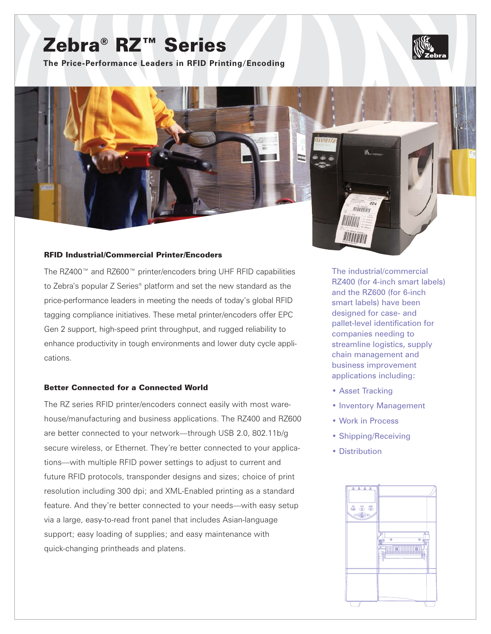# Zebra® RZ™ Series

**The Price-Performance Leaders in RFID Printing/Encoding**

### RFID Industrial/Commercial Printer/Encoders

The RZ400™ and RZ600™ printer/encoders bring UHF RFID capabilities to Zebra's popular Z Series® platform and set the new standard as the price-performance leaders in meeting the needs of today's global RFID tagging compliance initiatives. These metal printer/encoders offer EPC Gen 2 support, high-speed print throughput, and rugged reliability to enhance productivity in tough environments and lower duty cycle applications.

# Better Connected for a Connected World

The RZ series RFID printer/encoders connect easily with most warehouse/manufacturing and business applications. The RZ400 and RZ600 are better connected to your network—through USB 2.0, 802.11b/g secure wireless, or Ethernet. They're better connected to your applications—with multiple RFID power settings to adjust to current and future RFID protocols, transponder designs and sizes; choice of print resolution including 300 dpi; and XML-Enabled printing as a standard feature. And they're better connected to your needs—with easy setup via a large, easy-to-read front panel that includes Asian-language support; easy loading of supplies; and easy maintenance with quick-changing printheads and platens.

The industrial/commercial RZ400 (for 4-inch smart labels) and the RZ600 (for 6-inch smart labels) have been designed for case- and pallet-level identification for companies needing to streamline logistics, supply chain management and business improvement applications including:

• Asset Tracking

minim

**IIIIIIIII** 

WINNIN

- Inventory Management
- Work in Process
- Shipping/Receiving
- Distribution